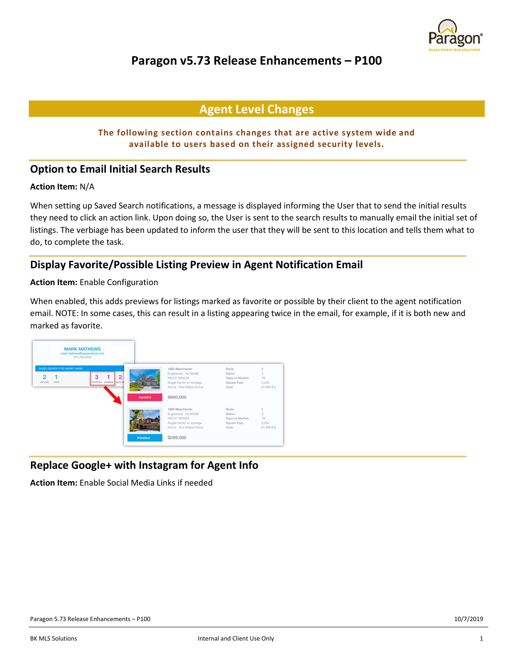

# Agent Level Changes

#### The following section contains changes that are active system wide and available to users based on their assigned security levels.

### Option to Email Initial Search Results

#### Action Item: N/A

When setting up Saved Search notifications, a message is displayed informing the User that to send the initial results they need to click an action link. Upon doing so, the User is sent to the search results to manually email the initial set of listings. The verbiage has been updated to inform the user that they will be sent to this location and tells them what to do, to complete the task.

### Display Favorite/Possible Listing Preview in Agent Notification Email

#### Action Item: Enable Configuration

When enabled, this adds previews for listings marked as favorite or possible by their client to the agent notification email. NOTE: In some cases, this can result in a listing appearing twice in the email, for example, if it is both new and marked as favorite.



### Replace Google+ with Instagram for Agent Info

Action Item: Enable Social Media Links if needed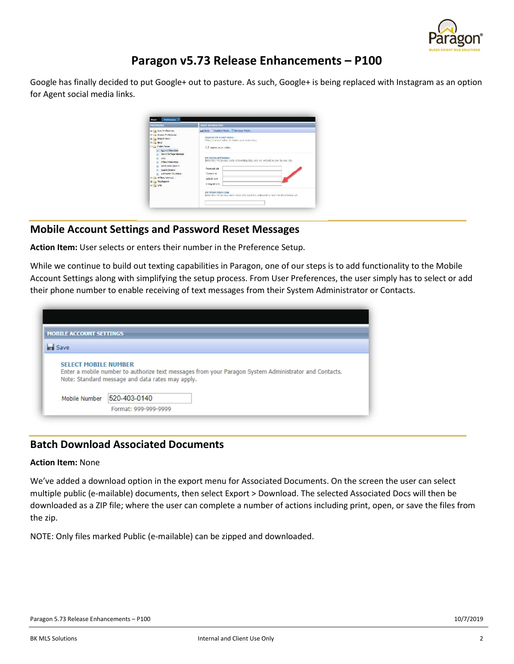

Google has finally decided to put Google+ out to pasture. As such, Google+ is being replaced with Instagram as an option for Agent social media links.

| <b>HECTORINGS</b>                                                                                                                                                                                                                                                                                                                                                                  | ACENT DIFORESATION                                                                                                                                                                                                                                                                                                                                                                                                                                             |
|------------------------------------------------------------------------------------------------------------------------------------------------------------------------------------------------------------------------------------------------------------------------------------------------------------------------------------------------------------------------------------|----------------------------------------------------------------------------------------------------------------------------------------------------------------------------------------------------------------------------------------------------------------------------------------------------------------------------------------------------------------------------------------------------------------------------------------------------------------|
| tu Ca. Dre Feferences<br><b>IR (2) System Proferences</b><br>Bill & Report Views<br>Ill Fig. brail<br><b>Little Coloh Center</b><br>s. Applicationship<br>M. About Ne EngelNectage<br>$16 - 1866$<br>Office Information<br>Not ferrion Options<br>×<br>Sparch Dordona<br>determined Valuntines.<br>10 La Afflicta Connect<br><b>ED The Reports</b><br><b>IAI TITE CHAN</b><br>na n | -Save : Hinders Photo - Remove Photo<br>DISPLAY ITT STURF VIIDO<br>Check the late index. In display your vowerstary.<br>El capações vilas:<br><b>HY SOCIAL NETWORKS</b><br>Enter the link to your spca, networking sites, and we will add an loon to your site.<br>Farmough Link<br>Tairrer Unk<br>Leikedin Laik<br>Instagram Link<br><b><i>IN STORY VIDEO (TM)</i></b><br>Enter the ink to your story visco. We need the embaded un and not the sharable uit. |

### Mobile Account Settings and Password Reset Messages

Action Item: User selects or enters their number in the Preference Setup.

While we continue to build out texting capabilities in Paragon, one of our steps is to add functionality to the Mobile Account Settings along with simplifying the setup process. From User Preferences, the user simply has to select or add their phone number to enable receiving of text messages from their System Administrator or Contacts.

| <b>But</b> Save             |                                                                                                                                                           |
|-----------------------------|-----------------------------------------------------------------------------------------------------------------------------------------------------------|
| <b>SELECT MOBILE NUMBER</b> | Enter a mobile number to authorize text messages from your Paragon System Administrator and Contacts.<br>Note: Standard message and data rates may apply. |
| <b>Mobile Number</b>        | 520-403-0140                                                                                                                                              |

### Batch Download Associated Documents

#### Action Item: None

We've added a download option in the export menu for Associated Documents. On the screen the user can select multiple public (e-mailable) documents, then select Export > Download. The selected Associated Docs will then be downloaded as a ZIP file; where the user can complete a number of actions including print, open, or save the files from the zip.

NOTE: Only files marked Public (e-mailable) can be zipped and downloaded.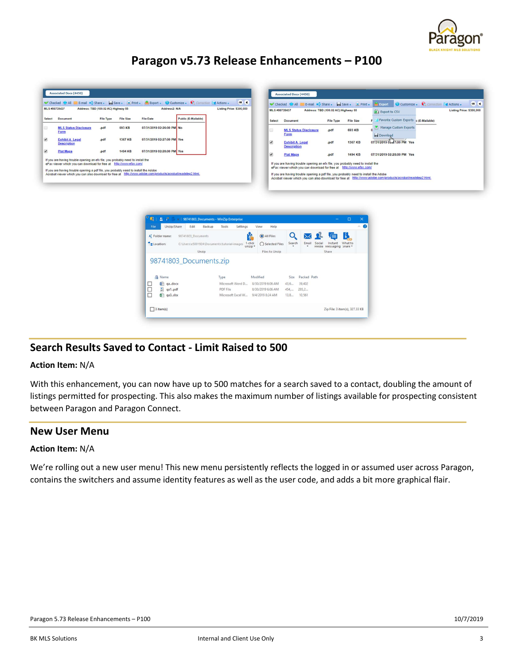

|                          | <b>Associated Docs (4450)</b>                                                                                                                                                                                                                                                                                                                                  |                  |                  |                                                                                                                                                             |                     |                                     |                         | <b>Associated Docs (4450)</b>                                                                                                                                                                                                                  |                                     |                  |                                                                                                              |
|--------------------------|----------------------------------------------------------------------------------------------------------------------------------------------------------------------------------------------------------------------------------------------------------------------------------------------------------------------------------------------------------------|------------------|------------------|-------------------------------------------------------------------------------------------------------------------------------------------------------------|---------------------|-------------------------------------|-------------------------|------------------------------------------------------------------------------------------------------------------------------------------------------------------------------------------------------------------------------------------------|-------------------------------------|------------------|--------------------------------------------------------------------------------------------------------------|
|                          | Checked All<br>MLS #98739437<br>Address: TBD (100.02 AC) Highway 55                                                                                                                                                                                                                                                                                            |                  |                  | <b>B</b> E-mail $\leq$ Share $\sim$ <b>E</b> Save $\sim$ E Print $\sim$ <b>C</b> Export $\sim$ <b>C</b> Correction <b>C</b> Actions $\sim$<br>Address2: N/A |                     | $a - 4$<br>Listing Price: \$300,000 | MLS #98739437           | Checked All E-mail - Share - Bave - E Print -                                                                                                                                                                                                  | Address: TBD (100.02 AC) Highway 55 |                  | <b>M</b> Export C Customize v C Correction To Actions v<br>Listing Price: \$300,000                          |
| Select                   | <b>Document</b>                                                                                                                                                                                                                                                                                                                                                | <b>File Type</b> | <b>File Size</b> | <b>File Date</b>                                                                                                                                            | Public (E-Mailable) |                                     | Select                  | Document                                                                                                                                                                                                                                       | <b>File Type</b>                    | <b>File Size</b> | Export to CSV<br>Favorite Custom Exports c (E-Mailable)                                                      |
|                          | <b>MLS Status Disclosure</b><br>Form                                                                                                                                                                                                                                                                                                                           | .pdf             | 693 KB           | 07/31/2019 02:26:00 PM No                                                                                                                                   |                     |                                     |                         | <b>MLS Status Disclosure</b><br>Form                                                                                                                                                                                                           | .pdf                                | 693 KB           | Manage Custom Exports<br>Download                                                                            |
| $\overline{\mathcal{L}}$ | <b>Exhibit A Legal</b><br><b>Description</b>                                                                                                                                                                                                                                                                                                                   | .pdf             | 1367 KB          | 07/31/2019 02:27:00 PM Yes                                                                                                                                  |                     |                                     | $\overline{\mathbf{v}}$ | <b>Exhibit A Legal</b><br><b>Description</b>                                                                                                                                                                                                   | .pdf                                | 1367 KB          | 07/31/2019 02-27:00 PM Yes                                                                                   |
| $\overline{\mathcal{L}}$ | <b>Plat Maps</b>                                                                                                                                                                                                                                                                                                                                               | .pdf             | 1494 KB          | 07/31/2019 02:28:00 PM Yes                                                                                                                                  |                     |                                     | $\overline{\mathbf{v}}$ | <b>Plat Maps</b>                                                                                                                                                                                                                               | .pdf                                | 1494 KB          | 07/31/2019 02:28:00 PM Yes                                                                                   |
|                          | If you are having trouble opening an efx file, you probably need to install the<br>eFax viewer which you can download for free at http://www.efax.com/<br>If you are having trouble opening a pdf file, you probably need to install the Adobe<br>Acrobat viewer which you can also download for free at http://www.adobe.com/products/acrobat/readstep2.html. |                  |                  |                                                                                                                                                             |                     |                                     |                         | If you are having trouble opening an efx file, you probably need to install the<br>eFax viewer which you can download for free at http://www.efax.com/<br>If you are having trouble opening a pdf file, you probably need to install the Adobe |                                     |                  | Acrobat viewer which you can also download for free at http://www.adobe.com/products/acrobat/readstep2.html. |

| File<br>Unzip/Share                               | Edit               | Backup | Tools<br>Settings                           |                    | Help<br>View      |             |             |            |                                  |         | $\sim$ 0 |
|---------------------------------------------------|--------------------|--------|---------------------------------------------|--------------------|-------------------|-------------|-------------|------------|----------------------------------|---------|----------|
| A Folder name:                                    | 98741803 Documents |        |                                             |                    | All Files         | Q           |             | $\times R$ | 喧                                | d.      |          |
| Location:                                         |                    |        | C:\Users\e5001924\Documents\tutorial-images | 1-click<br>Unzip + | Selected Files    | Search<br>۰ | Email<br>٠  | Social     | Instant<br>Media Messaging Share | What to |          |
|                                                   |                    | Unzip  |                                             |                    | Files to Unzip    |             |             |            | Share                            |         |          |
|                                                   |                    |        |                                             |                    |                   |             |             |            |                                  |         |          |
| a<br>Name                                         |                    |        | Type                                        | Modified           |                   | Size        | Packed Path |            |                                  |         |          |
| 하<br>qadocx                                       |                    |        | Microsoft Word D                            |                    | 8/30/2019 6:06 AM | 43,6        | 39,402      |            |                                  |         |          |
| 98741803 Documents.zip<br>$\frac{e}{m}$<br>qa1pdf |                    |        | PDF File                                    |                    | 8/30/2019 6:06 AM | 454,        | 285,2       |            |                                  |         |          |
| 미<br>qa3.xlsx                                     |                    |        | Microsoft Excel W                           |                    | 9/4/2019 8:24 AM  | 13,8        | 10,561      |            |                                  |         |          |

### Search Results Saved to Contact - Limit Raised to 500

#### Action Item: N/A

With this enhancement, you can now have up to 500 matches for a search saved to a contact, doubling the amount of listings permitted for prospecting. This also makes the maximum number of listings available for prospecting consistent between Paragon and Paragon Connect.

#### New User Menu

#### Action Item: N/A

We're rolling out a new user menu! This new menu persistently reflects the logged in or assumed user across Paragon, contains the switchers and assume identity features as well as the user code, and adds a bit more graphical flair.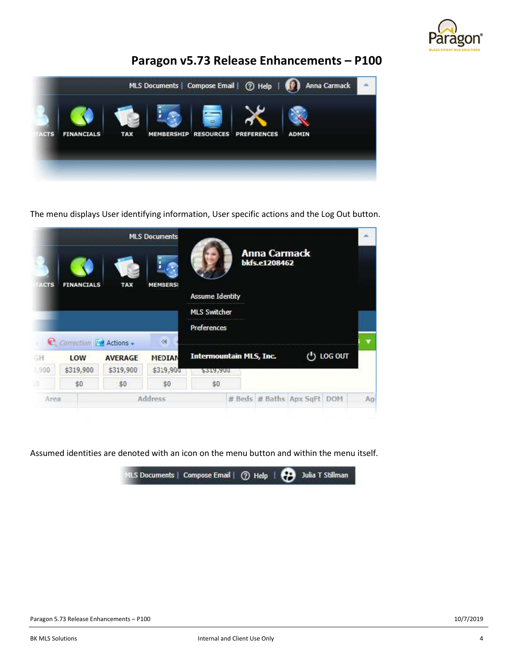



The menu displays User identifying information, User specific actions and the Log Out button.

|             |                        |                | <b>MLS Documents</b> |                                | <b>Anna Carmack</b> |                         |               |    |
|-------------|------------------------|----------------|----------------------|--------------------------------|---------------------|-------------------------|---------------|----|
| <b>ACTS</b> | <b>FINANCIALS</b>      | <b>TAX</b>     | <b>MEMBERSI</b>      | <b>Assume Identity</b>         | bkfs.e1208462       |                         |               |    |
|             |                        |                |                      | <b>MLS Switcher</b>            |                     |                         |               |    |
|             |                        |                |                      | Preferences                    |                     |                         |               |    |
|             | Correction For Actions |                | 4                    |                                |                     |                         |               |    |
| GH          | LOW                    | <b>AVERAGE</b> | <b>MEDIAN</b>        | <b>Intermountain MLS, Inc.</b> |                     |                         | $'$ ) log out |    |
| 1,900       | \$319,900              | \$319,900      | \$319,900            | 2214,900                       |                     |                         |               |    |
|             | \$0                    | \$0            | \$0                  | \$0                            |                     |                         |               |    |
| Area        |                        |                | Address              |                                |                     | # Beds # Baths Apx SqFt | <b>DOM</b>    | Ag |

Assumed identities are denoted with an icon on the menu button and within the menu itself.